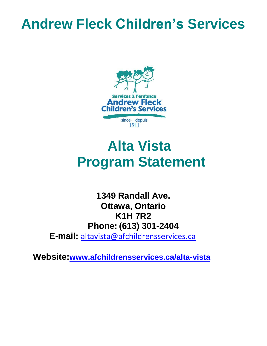## **Andrew Fleck Children's Services**



# **Alta Vista Program Statement**

**1349 Randall Ave. Ottawa, Ontario K1H 7R2 Phone: (613) 301-2404 E-mail:** [altavista@afchildrensservices.ca](mailto:altavista@afchildrensservices.ca)

 **Website:[www.afchildrensservices.ca/alta-vista](http://www.afchildrensservices.ca/alta-vista)**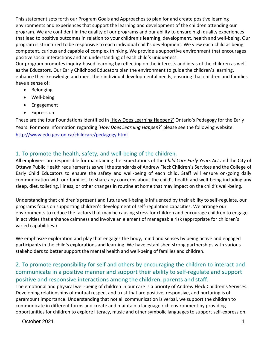This statement sets forth our Program Goals and Approaches to plan for and create positive learning environments and experiences that support the learning and development of the children attending our program. We are confident in the quality of our programs and our ability to ensure high quality experiences that lead to positive outcomes in relation to your children's learning, development, health and well-being. Our program is structured to be responsive to each individual child's development. We view each child as being competent, curious and capable of complex thinking. We provide a supportive environment that encourages positive social interactions and an understanding of each child's uniqueness.

Our program promotes inquiry-based learning by reflecting on the interests and ideas of the children as well as the Educators. Our Early Childhood Educators plan the environment to guide the children's learning, enhance their knowledge and meet their individual developmental needs, ensuring that children and families have a sense of:

- Belonging
- Well-being
- Engagement
- Expression

These are the four Foundations identified in 'How Does Learning Happen?' Ontario's Pedagogy for the Early Years. For more information regarding '*How Does Learning Happen*?' please see the following website. <http://www.edu.gov.on.ca/childcare/pedagogy.html>

### 1. To promote the health, safety, and well-being of the children.

All employees are responsible for maintaining the expectations of the *Child Care Early Years Act* and the City of Ottawa Public Health requirements as well the standards of Andrew Fleck Children's Services and the College of Early Child Educators to ensure the safety and well-being of each child. Staff will ensure on-going daily communication with our families, to share any concerns about the child's health and well-being including any sleep, diet, toileting, illness, or other changes in routine at home that may impact on the child's well-being.

Understanding that children's present and future well-being is influenced by their ability to self-regulate, our programs focus on supporting children's development of self-regulation capacities. We arrange our environments to reduce the factors that may be causing stress for children and encourage children to engage in activities that enhance calmness and involve an element of manageable risk (appropriate for children's varied capabilities.)

We emphasize exploration and play that engages the body, mind and senses by being active and engaged participants in the child's explorations and learning. We have established strong partnerships with various stakeholders to better support the mental health and well-being of families and children.

#### 2. To promote responsibility for self and others by encouraging the children to interact and communicate in a positive manner and support their ability to self-regulate and support positive and responsive interactions among the children, parents and staff.

The emotional and physical well-being of children in our care is a priority of Andrew Fleck Children's Services. Developing relationships of mutual respect and trust that are positive, responsive, and nurturing is of paramount importance. Understanding that not all communication is verbal, we support the children to communicate in different forms and create and maintain a language rich environment by providing opportunities for children to explore literacy, music and other symbolic languages to support self-expression.

October 2021 1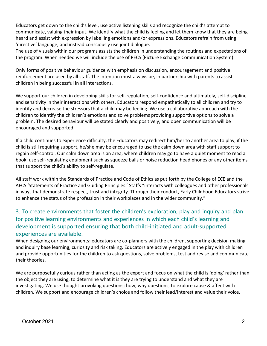Educators get down to the child's level, use active listening skills and recognize the child's attempt to communicate, valuing their input. We identify what the child is feeling and let them know that they are being heard and assist with expression by labelling emotions and/or expressions. Educators refrain from using 'directive' language, and instead consciously use joint dialogue.

The use of visuals within our programs assists the children in understanding the routines and expectations of the program. When needed we will include the use of PECS (Picture Exchange Communication System).

Only forms of positive behaviour guidance with emphasis on discussion, encouragement and positive reinforcement are used by all staff. The intention must always be, in partnership with parents to assist children in being successful in all interactions.

We support our children in developing skills for self-regulation, self-confidence and ultimately, self-discipline and sensitivity in their interactions with others. Educators respond empathetically to all children and try to identify and decrease the stressors that a child may be feeling. We use a collaborative approach with the children to identify the children's emotions and solve problems providing supportive options to solve a problem. The desired behaviour will be stated clearly and positively, and open communication will be encouraged and supported.

If a child continues to experience difficulty, the Educators may redirect him/her to another area to play, if the child is still requiring support, he/she may be encouraged to use the calm down area with staff support to regain self-control. Our calm down area is an area, where children may go to have a quiet moment to read a book, use self-regulating equipment such as squeeze balls or noise reduction head phones or any other items that support the child's ability to self-regulate.

All staff work within the Standards of Practice and Code of Ethics as put forth by the College of ECE and the AFCS 'Statements of Practice and Guiding Principles.' Staffs "interacts with colleagues and other professionals in ways that demonstrate respect, trust and integrity. Through their conduct, Early Childhood Educators strive to enhance the status of the profession in their workplaces and in the wider community."

#### 3. To create environments that foster the children's exploration, play and inquiry and plan for positive learning environments and experiences in which each child's learning and development is supported ensuring that both child-initiated and adult-supported experiences are available.

When designing our environments: educators are co-planners with the children, supporting decision making and inquiry base learning, curiosity and risk taking. Educators are actively engaged in the play with children and provide opportunities for the children to ask questions, solve problems, test and revise and communicate their theories.

We are purposefully curious rather than acting as the expert and focus on what the child is 'doing' rather than the object they are using, to determine what it is they are trying to understand and what they are investigating. We use thought provoking questions; how, why questions, to explore cause & affect with children. We support and encourage children's choice and follow their lead/interest and value their voice.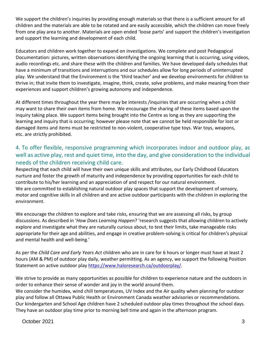We support the children's inquiries by providing enough materials so that there is a sufficient amount for all children and the materials are able to be rotated and are easily accessible, which the children can move freely from one play area to another. Materials are open ended 'loose parts' and support the children's investigation and support the learning and development of each child.

Educators and children work together to expand on investigations. We complete and post Pedagogical Documentation: pictures, written observations identifying the ongoing learning that is occurring, using videos, audio recordings etc. and share these with the children and families. We have developed daily schedules that have a minimum of transitions and interruptions and our schedules allow for long periods of uninterrupted play. We understand that the Environment is the 'third teacher' and we develop environments for children to thrive in; that invite them to investigate, imagine, think, create, solve problems, and make meaning from their experiences and support children's growing autonomy and independence.

At different times throughout the year there may be interests /inquiries that are occurring when a child may want to share their own items from home. We encourage the sharing of these items based upon the inquiry taking place. We support items being brought into the Centre as long as they are supporting the learning and inquiry that is occurring; however please note that we cannot be held responsible for lost or damaged items and items must be restricted to non-violent, cooperative type toys. War toys, weapons, etc. are strictly prohibited.

### 4. To offer flexible, responsive programming which incorporates indoor and outdoor play, as well as active play, rest and quiet time, into the day, and give consideration to the individual needs of the children receiving child care.

Respecting that each child will have their own unique skills and attributes, our Early Childhood Educators nurture and foster the growth of maturity and independence by providing opportunities for each child to contribute to his/her learning and an appreciation of and respect for our natural environment. We are committed to establishing natural outdoor play spaces that support the development of sensory, motor and cognitive skills in all children and are active outdoor participants with the children in exploring the environment.

We encourage the children to explore and take risks, ensuring that we are assessing all risks, by group discussions. As described in '*How Does Learning Happen*? 'research suggests that allowing children to actively explore and investigate what they are naturally curious about, to test their limits, take manageable risks appropriate for their age and abilities, and engage in creative problem-solving is critical for children's physical and mental health and well-being.'

As per the *Child Care and Early Years Act* children who are in care for 6 hours or longer must have at least 2 hours (AM & PM) of outdoor play daily, weather permitting. As an agency, we support the following Position Statement on active outdoor play https:/[/www.haloresearch.ca/outdoorplay/.](http://www.haloresearch.ca/outdoorplay/)

We strive to provide as many opportunities as possible for children to experience nature and the outdoors in order to enhance their sense of wonder and joy in the world around them.

We consider the humidex, wind chill temperatures, UV Index and the Air quality when planning for outdoor play and follow all Ottawa Public Health or Environment Canada weather advisories or recommendations. Our kindergarten and School Age children have 2 scheduled outdoor play times throughout the school days. They have an outdoor play time prior to morning bell time and again in the afternoon program.

October 2021 3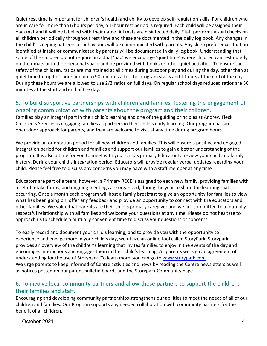Quiet rest time is important for children's health and ability to develop self-regulation skills. For children who are in care for more than 6 hours per day, a 1-hour rest period is required. Each child will be assigned their own mat and it will be labelled with their name. All mats are disinfected daily. Staff performs visual checks on all children periodically throughout rest time and these are documented in the daily log book. Any changes in the child's sleeping patterns or behaviours will be communicated with parents. Any sleep preferences that are identified at intake or communicated by parents will be documented in daily log book. Understanding that some of the children do not require an actual 'nap' we encourage 'quiet time' where children can rest quietly on their mats or in their personal space and be provided with books or other quiet activities. To ensure the safety of the children, ratios are maintained at all times during outdoor play and during the day, other than at quiet time for up to 1 hour and up to 90 minutes after the program starts and 1 hours at the end of the day. During these hours we are allowed to use 2/3 ratios on full days. On regular school days reduced ratios are 30 minutes at the start and end of the day.

#### 5. To build supportive partnerships with children and families; fostering the engagement of ongoing communication with parents about the program and their children.

Families play an integral part in their child's learning and one of the guiding principles at Andrew Fleck Children's Services is engaging families as partners in their child's early learning. Our program has an open-door approach for parents, and they are welcome to visit at any time during program hours.

We provide an orientation period for all new children and families. This will ensure a positive and engaged integration period for children and families and support our families to gain a better understanding of the program. It is also a time for you to meet with your child's primary Educator to review your child and family history. During your child's integration period, Educators will provide regular verbal updates regarding your child. Please feel free to discuss any concerns you may have with a staff member at any time

Educators are part of a team, however, a Primary RECE is assigned to each new family, providing families with a set of intake forms, and ongoing meetings are organized, during the year to share the learning that is occurring. Once a month each program will host a family breakfast to give an opportunity for families to view what has been going on, offer any feedback and provide an opportunity to connect with the educators and other families. We value that parents are their child's primary caregiver and we are committed to a mutually respectful relationship with all families and welcome your questions at any time. Please do not hesitate to approach us to schedule a mutually convenient time to discuss your questions or concerns.

To easily record and document your child's learning, and to provide you with the opportunity to experience and engage more in your child's day, we utilize an online tool called StoryPark. Storypark provides an overview of the children's learning that invites families to enjoy in the events of the day and encourages interactions and engages them in their child's learning. All parents will sign an agreement of understanding for the use of Storypark. To learn more, you can go to [www.storypark.com](http://www.storypark.com/) We urge parents to keep informed of Centre activities and news by reading the Centre newsletters as well as notices posted on our parent bulletin boards and the Storypark Community page.

#### 6. To involve local community partners and allow those partners to support the children, their families and staff.

Encouraging and developing community partnerships strengthens our abilities to meet the needs of all of our children and families. Our Program supports any needed collaboration with community partners for the benefit of all children.

October 2021 4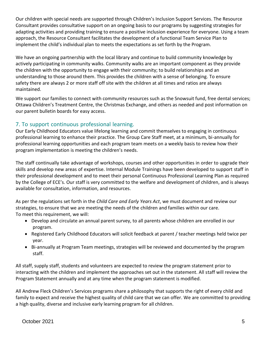Our children with special needs are supported through Children's Inclusion Support Services. The Resource Consultant provides consultative support on an ongoing basis to our programs by suggesting strategies for adapting activities and providing training to ensure a positive inclusion experience for everyone. Using a team approach, the Resource Consultant facilitates the development of a functional Team Service Plan to implement the child's individual plan to meets the expectations as set forth by the Program.

We have an ongoing partnership with the local library and continue to build community knowledge by actively participating in community walks. Community walks are an important component as they provide the children with the opportunity to engage with their community; to build relationships and an understanding to those around them. This provides the children with a sense of belonging. To ensure safety there are always 2 or more staff off site with the children at all times and ratios are always maintained.

We support our families to connect with community resources such as the Snowsuit fund, free dental services; Ottawa Children's Treatment Centre, the Christmas Exchange, and others as needed and post information on our parent bulletin boards for easy access.

#### 7. To support continuous professional learning.

Our Early Childhood Educators value lifelong learning and commit themselves to engaging in continuous professional learning to enhance their practice. The Group Care Staff meet, at a minimum, bi-annually for professional learning opportunities and each program team meets on a weekly basis to review how their program implementation is meeting the children's needs.

The staff continually take advantage of workshops, courses and other opportunities in order to upgrade their skills and develop new areas of expertise. Internal Module Trainings have been developed to support staff in their professional development and to meet their personal Continuous Professional Learning Plan as required by the College of ECE's. Our staff is very committed to the welfare and development of children, and is always available for consultation, information, and resources.

As per the regulations set forth in the *Child Care and Early Years Act*, we must document and review our strategies, to ensure that we are meeting the needs of the children and families within our care. To meet this requirement, we will:

- Develop and circulate an annual parent survey, to all parents whose children are enrolled in our program.
- Registered Early Childhood Educators will solicit feedback at parent / teacher meetings held twice per year.
- Bi-annually at Program Team meetings, strategies will be reviewed and documented by the program staff.

All staff, supply staff, students and volunteers are expected to review the program statement prior to interacting with the children and implement the approaches set out in the statement. All staff will review the Program Statement annually and at any time when the program statement is modified.

All Andrew Fleck Children's Services programs share a philosophy that supports the right of every child and family to expect and receive the highest quality of child care that we can offer. We are committed to providing a high quality, diverse and inclusive early learning program for all children.